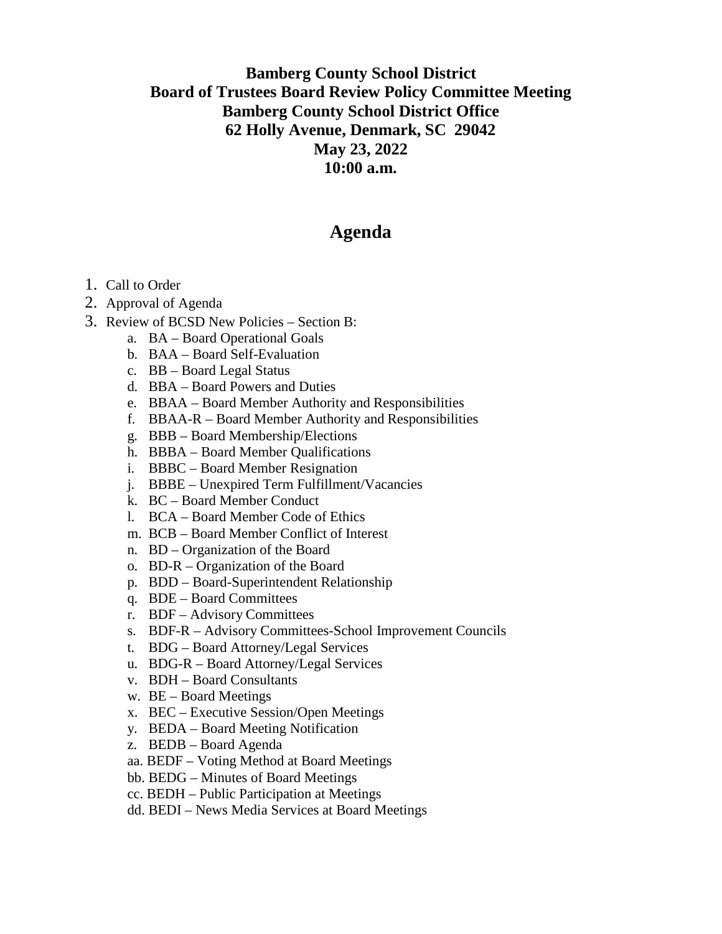## **Bamberg County School District Board of Trustees Board Review Policy Committee Meeting Bamberg County School District Office 62 Holly Avenue, Denmark, SC 29042 May 23, 2022 10:00 a.m.**

## **Agenda**

- 1. Call to Order
- 2. Approval of Agenda
- 3. Review of BCSD New Policies Section B:
	- a. BA Board Operational Goals
	- b. BAA Board Self-Evaluation
	- c. BB Board Legal Status
	- d. BBA Board Powers and Duties
	- e. BBAA Board Member Authority and Responsibilities
	- f. BBAA-R Board Member Authority and Responsibilities
	- g. BBB Board Membership/Elections
	- h. BBBA Board Member Qualifications
	- i. BBBC Board Member Resignation
	- j. BBBE Unexpired Term Fulfillment/Vacancies
	- k. BC Board Member Conduct
	- l. BCA Board Member Code of Ethics
	- m. BCB Board Member Conflict of Interest
	- n. BD Organization of the Board
	- o. BD-R Organization of the Board
	- p. BDD Board-Superintendent Relationship
	- q. BDE Board Committees
	- r. BDF Advisory Committees
	- s. BDF-R Advisory Committees-School Improvement Councils
	- t. BDG Board Attorney/Legal Services
	- u. BDG-R Board Attorney/Legal Services
	- v. BDH Board Consultants
	- w. BE Board Meetings
	- x. BEC Executive Session/Open Meetings
	- y. BEDA Board Meeting Notification
	- z. BEDB Board Agenda
	- aa. BEDF Voting Method at Board Meetings
	- bb. BEDG Minutes of Board Meetings
	- cc. BEDH Public Participation at Meetings
	- dd. BEDI News Media Services at Board Meetings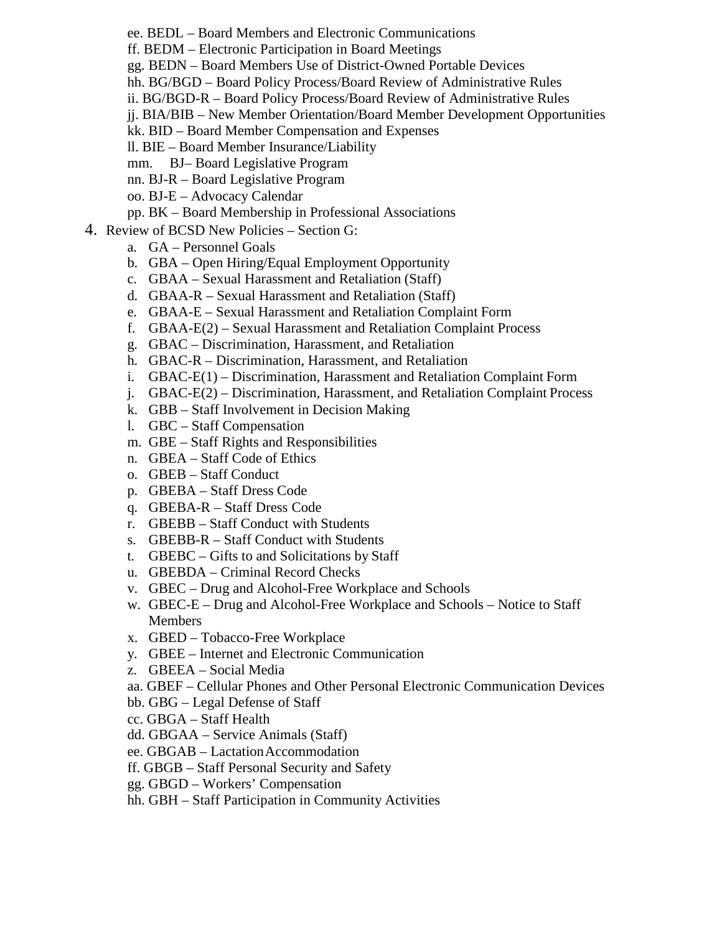- ee. BEDL Board Members and Electronic Communications
- ff. BEDM Electronic Participation in Board Meetings
- gg. BEDN Board Members Use of District-Owned Portable Devices
- hh. BG/BGD Board Policy Process/Board Review of Administrative Rules
- ii. BG/BGD-R Board Policy Process/Board Review of Administrative Rules
- jj. BIA/BIB New Member Orientation/Board Member Development Opportunities
- kk. BID Board Member Compensation and Expenses
- ll. BIE Board Member Insurance/Liability
- mm. BJ– Board Legislative Program
- nn. BJ-R Board Legislative Program
- oo. BJ-E Advocacy Calendar
- pp. BK Board Membership in Professional Associations
- 4. Review of BCSD New Policies Section G:
	- a. GA Personnel Goals
	- b. GBA Open Hiring/Equal Employment Opportunity
	- c. GBAA Sexual Harassment and Retaliation (Staff)
	- d. GBAA-R Sexual Harassment and Retaliation (Staff)
	- e. GBAA-E Sexual Harassment and Retaliation Complaint Form
	- f. GBAA-E(2) Sexual Harassment and Retaliation Complaint Process
	- g. GBAC Discrimination, Harassment, and Retaliation
	- h. GBAC-R Discrimination, Harassment, and Retaliation
	- i. GBAC-E(1) Discrimination, Harassment and Retaliation Complaint Form
	- j. GBAC-E(2) Discrimination, Harassment, and Retaliation Complaint Process
	- k. GBB Staff Involvement in Decision Making
	- l. GBC Staff Compensation
	- m. GBE Staff Rights and Responsibilities
	- n. GBEA Staff Code of Ethics
	- o. GBEB Staff Conduct
	- p. GBEBA Staff Dress Code
	- q. GBEBA-R Staff Dress Code
	- r. GBEBB Staff Conduct with Students
	- s. GBEBB-R Staff Conduct with Students
	- t. GBEBC Gifts to and Solicitations by Staff
	- u. GBEBDA Criminal Record Checks
	- v. GBEC Drug and Alcohol-Free Workplace and Schools
	- w. GBEC-E Drug and Alcohol-Free Workplace and Schools Notice to Staff Members
	- x. GBED Tobacco-Free Workplace
	- y. GBEE Internet and Electronic Communication
	- z. GBEEA Social Media
	- aa. GBEF Cellular Phones and Other Personal Electronic Communication Devices
	- bb. GBG Legal Defense of Staff
	- cc. GBGA Staff Health
	- dd. GBGAA Service Animals (Staff)
	- ee. GBGAB Lactation Accommodation
	- ff. GBGB Staff Personal Security and Safety
	- gg. GBGD Workers' Compensation
	- hh. GBH Staff Participation in Community Activities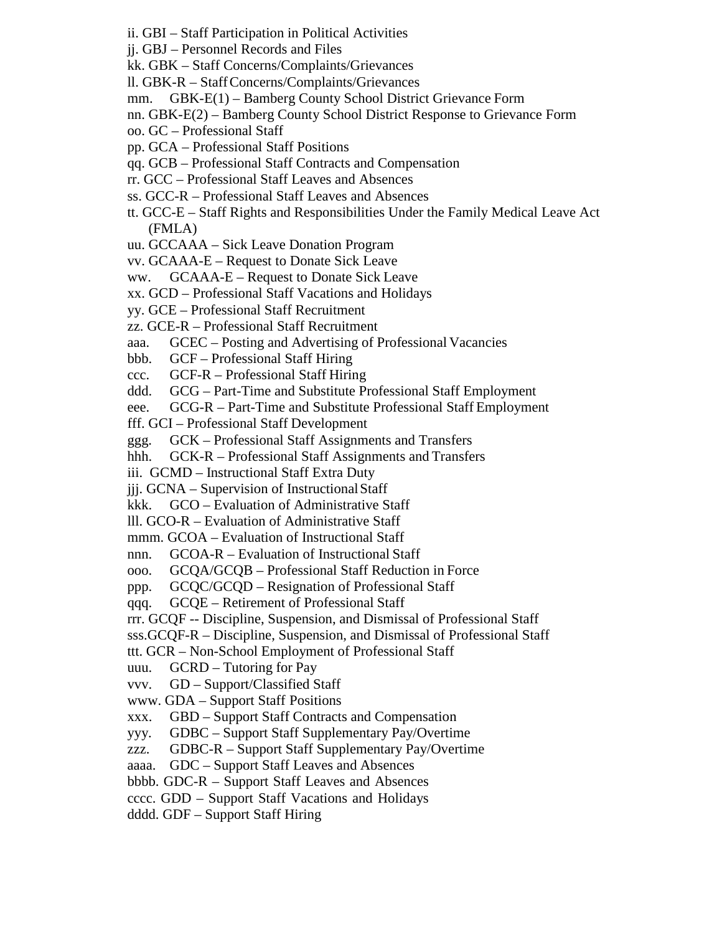- ii. GBI Staff Participation in Political Activities
- jj. GBJ Personnel Records and Files
- kk. GBK Staff Concerns/Complaints/Grievances
- ll. GBK-R Staff Concerns/Complaints/Grievances
- mm. GBK-E(1) Bamberg County School District Grievance Form
- nn. GBK-E(2) Bamberg County School District Response to Grievance Form
- oo. GC Professional Staff
- pp. GCA Professional Staff Positions
- qq. GCB Professional Staff Contracts and Compensation
- rr. GCC Professional Staff Leaves and Absences
- ss. GCC-R Professional Staff Leaves and Absences
- tt. GCC-E Staff Rights and Responsibilities Under the Family Medical Leave Act (FMLA)
- uu. GCCAAA Sick Leave Donation Program
- vv. GCAAA-E Request to Donate Sick Leave
- ww. GCAAA-E Request to Donate Sick Leave
- xx. GCD Professional Staff Vacations and Holidays
- yy. GCE Professional Staff Recruitment
- zz. GCE-R Professional Staff Recruitment
- aaa. GCEC Posting and Advertising of Professional Vacancies
- bbb. GCF Professional Staff Hiring
- ccc. GCF-R Professional Staff Hiring
- ddd. GCG Part-Time and Substitute Professional Staff Employment
- eee. GCG-R Part-Time and Substitute Professional Staff Employment
- fff. GCI Professional Staff Development
- ggg. GCK Professional Staff Assignments and Transfers
- hhh. GCK-R Professional Staff Assignments and Transfers
- iii. GCMD Instructional Staff Extra Duty
- jjj. GCNA Supervision of Instructional Staff
- kkk. GCO Evaluation of Administrative Staff
- lll. GCO-R Evaluation of Administrative Staff
- mmm. GCOA Evaluation of Instructional Staff
- nnn. GCOA-R Evaluation of Instructional Staff
- ooo. GCQA/GCQB Professional Staff Reduction in Force
- ppp. GCQC/GCQD Resignation of Professional Staff
- qqq. GCQE Retirement of Professional Staff
- rrr. GCQF -- Discipline, Suspension, and Dismissal of Professional Staff
- sss.GCQF-R Discipline, Suspension, and Dismissal of Professional Staff
- ttt. GCR Non-School Employment of Professional Staff
- uuu. GCRD Tutoring for Pay
- vvv. GD Support/Classified Staff
- [www.](http://www/) GDA Support Staff Positions
- xxx. GBD Support Staff Contracts and Compensation
- yyy. GDBC Support Staff Supplementary Pay/Overtime
- zzz. GDBC-R Support Staff Supplementary Pay/Overtime
- aaaa. GDC Support Staff Leaves and Absences
- bbbb. GDC-R Support Staff Leaves and Absences
- cccc. GDD Support Staff Vacations and Holidays
- dddd. GDF Support Staff Hiring